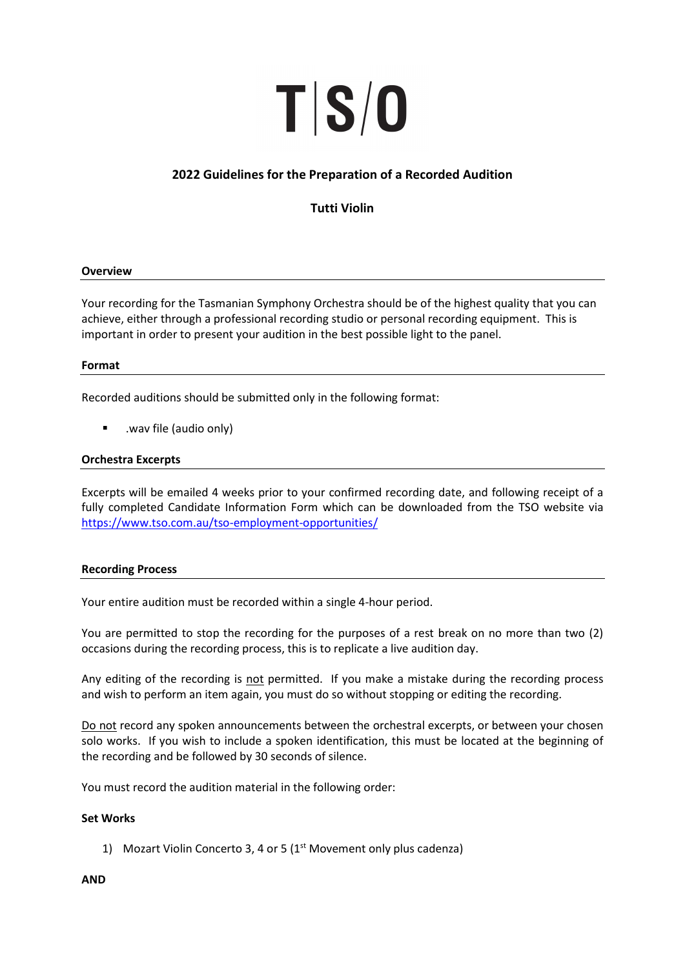# TS/0

## 2022 Guidelines for the Preparation of a Recorded Audition

Tutti Violin

### **Overview**

Your recording for the Tasmanian Symphony Orchestra should be of the highest quality that you can achieve, either through a professional recording studio or personal recording equipment. This is important in order to present your audition in the best possible light to the panel.

### Format

Recorded auditions should be submitted only in the following format:

.wav file (audio only)

### Orchestra Excerpts

Excerpts will be emailed 4 weeks prior to your confirmed recording date, and following receipt of a fully completed Candidate Information Form which can be downloaded from the TSO website via https://www.tso.com.au/tso-employment-opportunities/

### Recording Process

Your entire audition must be recorded within a single 4-hour period.

You are permitted to stop the recording for the purposes of a rest break on no more than two (2) occasions during the recording process, this is to replicate a live audition day.

Any editing of the recording is not permitted. If you make a mistake during the recording process and wish to perform an item again, you must do so without stopping or editing the recording.

Do not record any spoken announcements between the orchestral excerpts, or between your chosen solo works. If you wish to include a spoken identification, this must be located at the beginning of the recording and be followed by 30 seconds of silence.

You must record the audition material in the following order:

### Set Works

1) Mozart Violin Concerto 3, 4 or 5 ( $1<sup>st</sup>$  Movement only plus cadenza)

### AND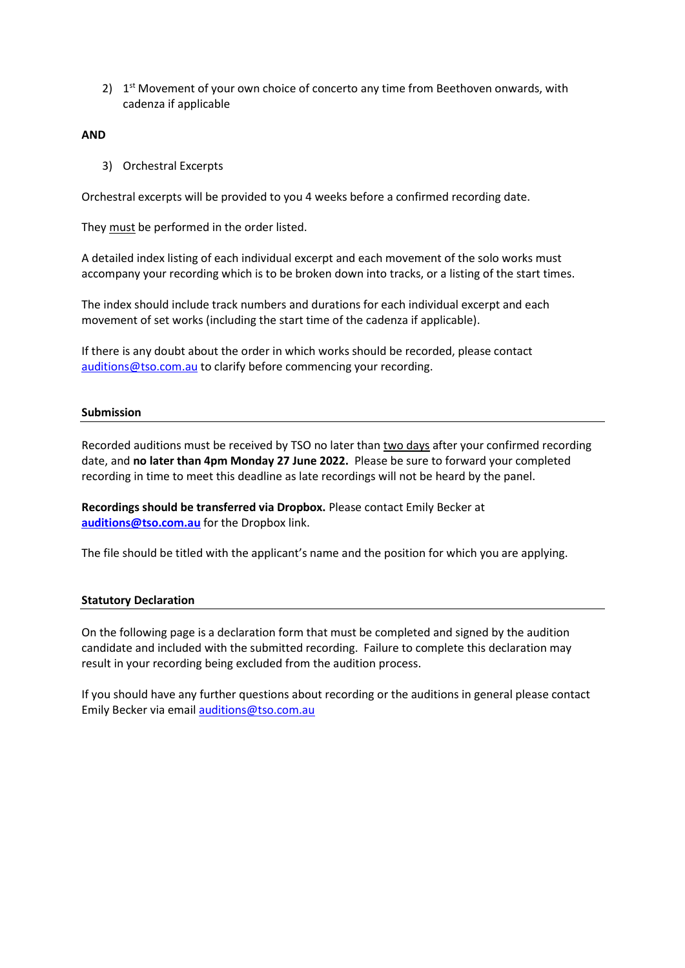$2)$  1<sup>st</sup> Movement of your own choice of concerto any time from Beethoven onwards, with cadenza if applicable

### AND

3) Orchestral Excerpts

Orchestral excerpts will be provided to you 4 weeks before a confirmed recording date.

They must be performed in the order listed.

A detailed index listing of each individual excerpt and each movement of the solo works must accompany your recording which is to be broken down into tracks, or a listing of the start times.

The index should include track numbers and durations for each individual excerpt and each movement of set works (including the start time of the cadenza if applicable).

If there is any doubt about the order in which works should be recorded, please contact auditions@tso.com.au to clarify before commencing your recording.

### Submission

Recorded auditions must be received by TSO no later than two days after your confirmed recording date, and no later than 4pm Monday 27 June 2022. Please be sure to forward your completed recording in time to meet this deadline as late recordings will not be heard by the panel.

Recordings should be transferred via Dropbox. Please contact Emily Becker at auditions@tso.com.au for the Dropbox link.

The file should be titled with the applicant's name and the position for which you are applying.

### Statutory Declaration

On the following page is a declaration form that must be completed and signed by the audition candidate and included with the submitted recording. Failure to complete this declaration may result in your recording being excluded from the audition process.

If you should have any further questions about recording or the auditions in general please contact Emily Becker via email auditions@tso.com.au